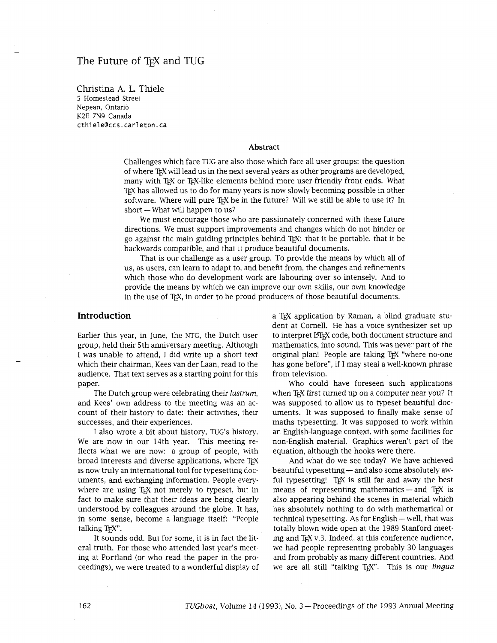# The Future of T<sub>F</sub>X and TUG

Christina **A.** L. Thiele *5* Homestead Street Nepean, Ontario K2E 7N9 Canada cthiele@ccs.carleton.ca

#### **Abstract**

Challenges which face TUG are also those which face all user groups: the question of where TEX will lead us in the next several years as other programs are developed, many with TEX or TEX-like elements behind more user-friendly front ends. What TEX has allowed us to do for many years is now slowly becoming possible in other software. Where will pure T<sub>F</sub>X be in the future? Will we still be able to use it? In  $short - What will happen to us?$ 

We must encourage those who are passionately concerned with these future directions. We must support improvements and changes which do not hinder or go against the main guiding principles behind TEX: that it be portable, that it be backwards compatible, and that it produce beautiful documents.

That is our challenge as a user group. To provide the means by which all of us, as users, can learn to adapt to, and benefit from, the changes and refinements which those who do development work are labouring over so intensely. And to provide the means by which we can improve our own slulls, our own knowledge in the use of TEX, in order to be proud producers of those beautiful documents.

#### **Introduction**

Earlier this year, in June, the NTG, the Dutch user group, held their 5th anniversary meeting. Although I was unable to attend, I did write up a short text which their chairman, Kees van der Laan, read to the audience. That text serves as a starting point for ths paper.

The Dutch group were celebrating their *lustrum,*  and Kees' own address to the meeting was an account of their history to date: their activities, their successes, and their experiences.

I also wrote a bit about history, TUG's history. We are now in our 14th year. This meeting reflects what we are now: a group of people, with broad interests and diverse applications, where TEX is now truly an international tool for typesetting documents, and exchanging information. People everywhere are using T<sub>E</sub>X not merely to typeset, but in fact to make sure that their ideas are being clearly understood by colleagues around the globe. It has, in some sense, become a language itself: "People talking T<sub>EX</sub>".

It sounds odd. But for some, it is in fact the literal truth. For those who attended last year's meeting at Portland (or who read the paper in the proceedings), we were treated to a wonderful display of a T<sub>EX</sub> application by Raman, a blind graduate student at Cornell. He has a voice synthesizer set up to interpret LATEX code, both document structure and mathematics, into sound. This was never part of the original plan! People are taking T<sub>EX</sub> "where no-one" has gone before", if I may steal a well-known phrase from television.

Who could have foreseen such applications when T<sub>F</sub>X first turned up on a computer near you? It was supposed to allow us to typeset beautiful documents. It was supposed to finally make sense of maths typesetting. It was supposed to work within an English-language context, with some facilities for non-English material. Graphics weren't part of the equation, although the hooks were there.

And what do we see today? We have achieved beautiful typesetting  $-$  and also some absolutely awful typesetting! TEX is still far and away the best means of representing mathematics  $-$  and TEX is also appearing behind the scenes in material which has absolutely nothing to do with mathematical or technical typesetting. As for English — well, that was totally blown wide open at the 1989 Stanford meeting and TEX v.3. Indeed, at this conference audience, we had people representing probably 30 languages and from probably as many different countries. And we are all still "talking TEX". This is our lingua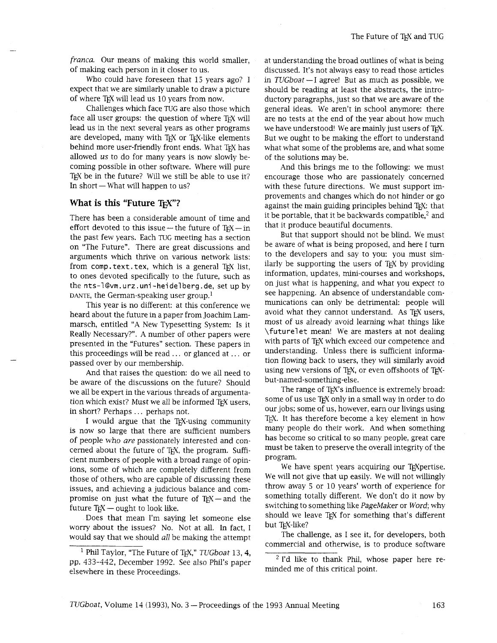*franca. Our* means of making this world smaller, of making each person in it closer to us.

Who could have foreseen that 15 years ago? I expect that we are similarly unable to draw a picture of where TEX will lead us 10 years from now.

Challenges which face TUG are also those which face all user groups: the question of where T<sub>EX</sub> will lead us in the next several years as other programs are developed, many with TEX or TEX-like elements behind more user-friendly front ends. What TEX has allowed us to do for many years is now slowly becoming possible in other software. Where will pure Text be in the future? Will we still be able to use it?<br>The short - What will happen to us?

# **What is this "Future TEX"?**

There has been a considerable amount of time and effort devoted to this issue - the future of  $T<sub>F</sub>X$  - in the past few years. Each TUG meeting has a section on "The Future". There are great discussions and arguments which thrive on various network lists: from comp. text. tex, which is a general TFX list, to ones devoted specifically to the future, such as the **nts-l@vm.urz.uni-heidelberg .de,** set up by DANTE, the German-speaking user group.<sup>1</sup>

This year is no different: at this conference we heard about the future in a paper from Joachim Lammarsch, entitled "A New Typesetting System: Is it Really Necessary?". A number of other papers were presented in the "Futures" section. These papers in this proceedings will be read ... or glanced at ... or passed over by our membership.

And that raises the question: do we all need to be aware of the discussions on the future? Should we all be expert in the various threads of argumentation which exist? Must we all be informed TEX users, in short? Perhaps ... perhaps not.

I would argue that the TEX-using community is now so large that there are sufficient numbers of people who *are* passionately interested and concerned about the future of TEX, the program. Sufficient numbers of people with a broad range of opinions, some of whlch are completely different from those of others, who are capable of discussing these issues, and achieving a judicious balance and comissues, and achieving a judicious balance and com-<br>promise on just what the future of T<sub>E</sub>X-and the<br>future T<sub>E</sub>X-ought to look like.

Does that mean I'm saying let someone else worry about the issues? No. Not at all. In fact, I would say that we should *all* be making the attempt

at understanding the broad outlines of what is being discussed. It's not always easy to read those articles in  $TUGboat - I$  agree! But as much as possible, we should be reading at least the abstracts, the introductory paragraphs, just so that we are aware of the general ideas. We aren't in school anymore: there are no tests at the end of the year about how much we have understood! We are mainly just users of TFX. But we ought to be making the effort to understand what what some of the problems are, and what some of the solutions may be.

And this brings me to the following: we must encourage those who are passionately concerned with these future directions. We must support improvements and changes which do not hinder or go against the main guiding principles behind T<sub>F</sub>X: that it be portable, that it be backwards compatible, $2$  and that it produce beautiful documents.

But that support should not be blind. We must be aware of what is being proposed, and here I turn to the developers and say to you: you must similarly be supporting the users of T<sub>E</sub>X by providing information, updates, mini-courses and workshops, on just what is happening, and what you expect to see happening. An absence of understandable communications can only be detrimental: people will avoid what they cannot understand. As TEX users, most of us already avoid learning what things like **\futurelet** mean! We are masters at not dealing with parts of T<sub>F</sub>X which exceed our competence and understanding. Unless there is sufficient information flowing back to users, they will similarly avoid using new versions of TEX, or even offshoots of TEXbut-named-something-else.

The range of TEX's influence is extremely broad: some of us use T<sub>E</sub>X only in a small way in order to do our jobs; some of us, however, earn our livings using T<sub>EX</sub>. It has therefore become a key element in how many people do their work. And when something has become so critical to so many people, great care must be taken to preserve the overall integrity of the program.

We have spent years acquiring our TEXpertise. We will not give that up easily. We will not willingly throw away *5* or 10 years' worth of experience for something totally different. We don't do it now by switching to something like PageMaker or Word; why should we leave T<sub>F</sub>X for something that's different but TEX-like?

The challenge, as I see it, for developers, both commercial and otherwise, is to produce software

 $2$  I'd like to thank Phil, whose paper here reminded me of ths critical point.

<sup>&</sup>lt;sup>1</sup> Phil Taylor, "The Future of T<sub>E</sub>X," *TUGboat* 13, 4, pp. 433-442, December 1992. See also Phil's paper elsewhere in these Proceedings.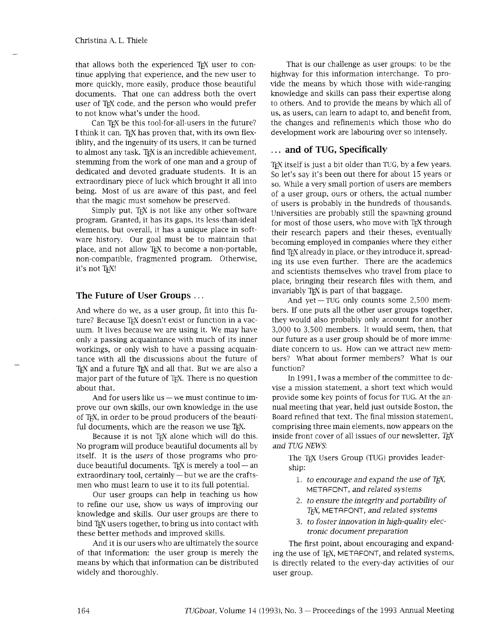#### Christina A. L. Thele

that allows both the experienced TFX user to continue applying that experience, and the new user to more quickly, more easily, produce those beautiful documents. That one can address both the overt user of TEX code, and the person who would prefer to not know what's under the hood.

Can TFX be this tool-for-all-users in the future? I think it can. TeX has proven that, with its own flexiblity, and the ingenuity of its users, it can be turned to almost any task. TEX is an incredible achievement, stemming from the work of one man and a group of dedicated and devoted graduate students. It is an extraordinary piece of luck which brought it all into being. Most of us are aware of this past, and feel that the magic must somehow be preserved.

Simply put, TEX is not like any other software program. Granted, it has its gaps, its less-than-ideal elements, but overall, it has a unique place in software history. Our goal must be to maintain that place, and not allow TEX to become a non-portable, non-compatible, fragmented program. Otherwise, it's not TFX!

## **The Future of User Groups** . . .

And where do we, as a user group, fit into this future? Because TEX doesn't exist or function in a vacuum. It lives because we are using it. We may have only a passing acquaintance with much of its inner workings, or only wish to have a passing acquaintance with all the discussions about the future of T<sub>EX</sub> and a future T<sub>EX</sub> and all that. But we are also a major part of the future of T<sub>F</sub>X. There is no question about that.

And for users like us  $-$  we must continue to improve our own skills, our own knowledge in the use of T<sub>F</sub>X, in order to be proud producers of the beautiful documents, which are the reason we use TFX.

Because it is not TEX alone which will do this. No program will produce beautiful documents all by itself. It is the *users* of those programs who pro-<br>duce beautiful documents. T<sub>E</sub>X is merely a tool — an duce beautiful documents. T<sub>EX</sub> is merely a tool — an extraordinary tool, certainly — but we are the craftsmen who must learn to use it to its full potential.

Our user groups can help in teaching us how to refine our use, show us ways of improving our knowledge and skills. Our user groups are there to bind T<sub>F</sub>X users together, to bring us into contact with these better methods and improved skills.

And it is our users who are ultimately the source of that information: the user group is merely the means by which that information can be distributed widely and thoroughly.

That is our challenge as user groups: to be the highway for this information interchange. To provide the means by which those with wide-ranging knowledge and skills can pass their expertise along to others. And to provide the means by which all of us, as users, can learn to adapt to, and benefit from, the changes and refinements which those who do development work are labouring over so intensely.

# . . . **and of TUG, Specifically**

TEX itself is just a bit older than TUG, by a few years. So let's say it's been out there for about 15 years or so. Whle a very small portion of users are members of a user group, ours or others, the actual number of users is probably in the hundreds of thousands. Universities are probably still the spawning ground for most of those users, who move with TEX through their research papers and their theses, eventually becoming employed in companies where they either find T<sub>E</sub>X already in place, or they introduce it, spreading its use even further. There are the academics and scientists themselves who travel from place to place, bringing their research files with them, and invariably TEX is part of that baggage.

And yet-TUG only counts some 2,500 members. If one puts all the other user groups together, they would also probably only account for another 3,000 to 3,500 members. It would seem, then, that our future as a user group should be of more immediate concern to us. How can we attract new members? What about former members? What is our function?

In 1991, I was a member of the committee to devise a mission statement, a short text which would provide some key points of focus for TUG. At the annual meeting that year, held just outside Boston, the Board refined that text. The final mission statement, comprising three main elements, now appears on the inside front cover of all issues of our newsletter, *T<sub>F</sub>X and TUG NEWS:* 

The T<sub>F</sub>X Users Group (TUG) provides leadership:

- 1. *to encourage and expand the use of T<sub>F</sub>X*, METAFONT, *and related systems*
- *2. to ensure the integrity and portability of TEX,* M ETA FONT, *and related systems*
- 3. *to foster innovation in high-quality electronic document preparation*

The first point, about encouraging and expanding the use of T<sub>F</sub>X, METAFONT, and related systems, is directly related to the every-day activities of our user group.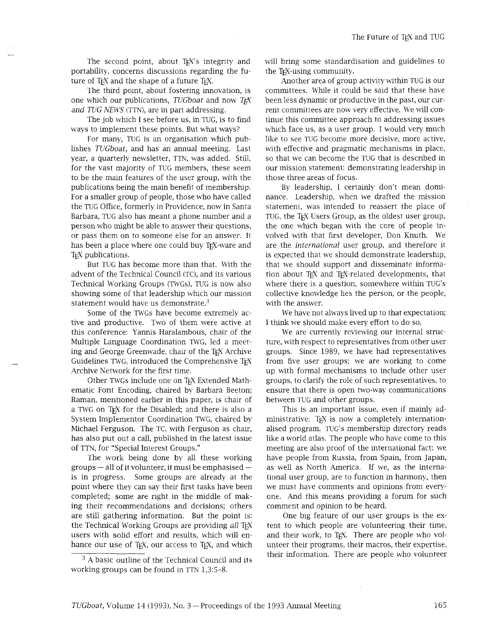The second point, about TEX's integrity and portability, concerns discussions regarding the future of TEX and the shape of a future TEX.

The third point, about fostering innovation, is one which our publications, *TUGboat* and now *TEX*  and *TUG NEWS* (TTN), are in part addressing.

The job which I see before us, in TUG, is to find ways to implement these points. But what ways?

For many, TUG is an organisation which publishes *TUGboat,* and has an annual meeting. Last year, a quarterly newsletter, TTN, was added. Still, for the vast majority of TUG members, these seem to be the main features of the user group, with the publications being the main benefit of membership. For a smaller group of people, those who have called the TUG Office, formerly in Providence, now in Santa Barbara, TUG also has meant a phone number and a person who might be able to answer their questions, or pass them on to someone else for an answer. It has been a place where one could buy TEX-ware and T<sub>E</sub>X publications.

But TUG has become more than that. With the advent of the Technical Council (TC), and its various Technical Working Groups (TWGs), TUG is now also showing some of that leadership which our mission statement would have us demonstrate. $3$ 

Some of the TWGs have become extremely active and productive. Two of them were active at this conference: Yannis Haralambous, chair of the Multiple Language Coordination TWG, led a meeting and George Greenwade, chair of the TEX Archive Guidelines TWG, introduced the Comprehensive TFX Archive Network for the first time.

Other TWGs include one on TEX Extended Mathematic Font Encoding, chaired by Barbara Beeton; Raman, mentioned earlier in this paper, is chair of a TWG on TFX for the Disabled; and there is also a System Implementor Coordination TWG, chaired by Michael Ferguson. The TC, with Ferguson as chair, has also put out a call, published in the latest issue of TTN, for "Special Interest Groups."

The work being done by all these working<br>groups — all of it volunteer, it must be emphasised is in progress. Some groups are already at the point where they can say their first tasks have been completed; some are right in the middle of making their recommendations and decisions; others are still gathering information. But the point is: the Technical Working Groups are providing all TFX users with solid effort and results, which will enhance our use of TEX, our access to TEX, and which

 $3$  A basic outline of the Technical Council and its working groups can be found in TTN 1,3:5-8.

will bring some standardisation and guidelines to the T<sub>F</sub>X-using community.

Another area of group activity within TUG is our committees. While it could be said that these have been less dynamic or productive in the past, our current committees are now very effective. We will continue this committee approach to addressing issues which face us, as a user group. I would very much like to see TUG become more decisive, more active, with effective and pragmatic mechanisms in place, so that we can become the TUG that is described in our mission statement: demonstrating leadership in those three areas of focus.

By leadership, I certainly don't mean dominance. Leadership, when we drafted the mission statement, was intended to reassert the place of TUG, the TEX Users Group, as the oldest user group, the one which began with the core of people involved with that first developer, Don Knuth. We are the *international* user group, and therefore it is expected that we should demonstrate leadership, that we should support and disseminate information about TEX and TEX-related developments, that where there is a question, somewhere within TUG'S collective knowledge lies the person, or the people, with the answer.

We have not always lived up to that expectation; I think we should make every effort to do so.

We are currently reviewing our internal structure, with respect to representatives from other user groups. Since 1989, we have had representatives from five user groups; we are working to come up with formal mechanisms to include other user groups, to clarify the role of such representatives, to ensure that there is open two-way communications between TUG and other groups.

This is an important issue, even if mainly administrative: TEX is now a completely internationalised program. TUG'S membership directory reads like a world atlas. The people who have come to this meeting are also proof of the international fact: we have people from Russia, from Spain, from Japan, as well as North America. If we, as the international user group, are to function in harmony, then we must have comments and opinions from everyone. And this means providing a forum for such comment and opinion to be heard.

One big feature of our user groups is the extent to which people are volunteering their time, and their work, to TFX. There are people who volunteer their programs, their macros, their expertise, their information. There are people who volunteer